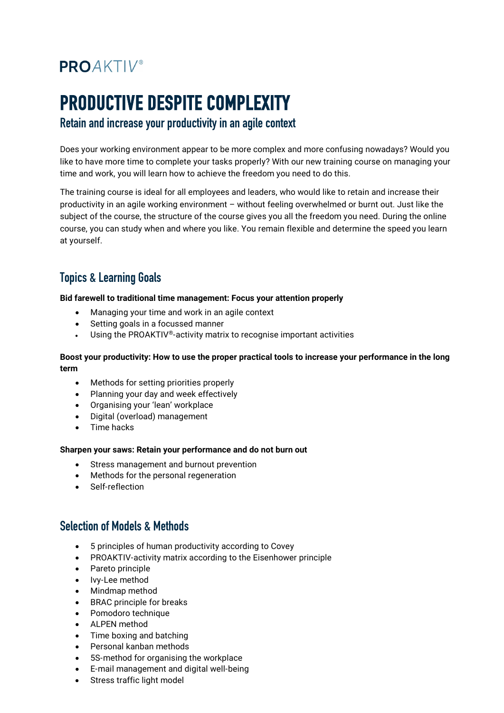## **PROAKTIV®**

# **PRODUCTIVE DESPITE COMPLEXITY**<br>Retain and increase your productivity in an agile context

Does your working environment appear to be more complex and more confusing nowadays? Would you like to have more time to complete your tasks properly? With our new training course on managing your time and work, you will learn how to achieve the freedom you need to do this.

The training course is ideal for all employees and leaders, who would like to retain and increase their productivity in an agile working environment – without feeling overwhelmed or burnt out. Just like the subject of the course, the structure of the course gives you all the freedom you need. During the online course, you can study when and where you like. You remain flexible and determine the speed you learn at yourself.

### Topics & Learning Goals

**Bid farewell to traditional time management: Focus your attention properly**

- Managing your time and work in an agile context
- Setting goals in a focussed manner
- Using the PROAKTIV®-activity matrix to recognise important activities

#### **Boost your productivity: How to use the proper practical tools to increase your performance in the long term**

- Methods for setting priorities properly
- Planning your day and week effectively
- Organising your 'lean' workplace
- Digital (overload) management
- Time hacks

#### **Sharpen your saws: Retain your performance and do not burn out**

- Stress management and burnout prevention
- Methods for the personal regeneration
- Self-reflection

#### Selection of Models & Methods

- 5 principles of human productivity according to Covey
- PROAKTIV-activity matrix according to the Eisenhower principle
- Pareto principle
- Ivy-Lee method
- Mindmap method
- BRAC principle for breaks
- Pomodoro technique
- ALPEN method
- Time boxing and batching
- Personal kanban methods
- 5S-method for organising the workplace
- E-mail management and digital well-being
- Stress traffic light model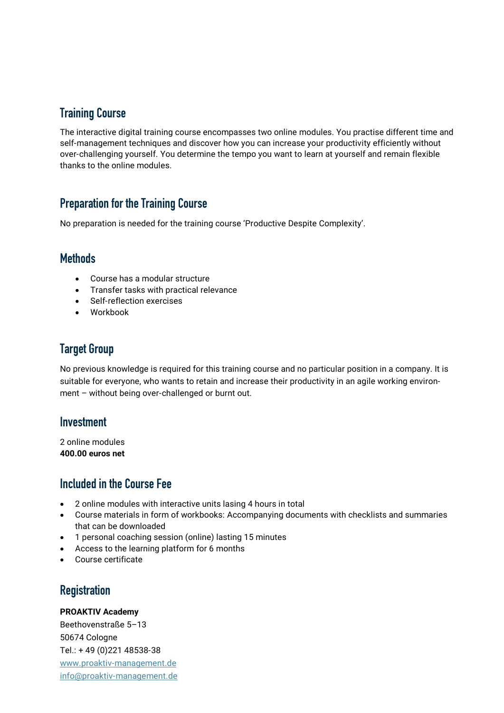#### Training Course

The interactive digital training course encompasses two online modules. You practise different time and self-management techniques and discover how you can increase your productivity efficiently without over-challenging yourself. You determine the tempo you want to learn at yourself and remain flexible thanks to the online modules.

#### Preparation for the Training Course

No preparation is needed for the training course 'Productive Despite Complexity'.

#### **Methods**

- Course has a modular structure
- Transfer tasks with practical relevance
- Self-reflection exercises
- Workbook

#### Target Group

No previous knowledge is required for this training course and no particular position in a company. It is suitable for everyone, who wants to retain and increase their productivity in an agile working environment – without being over-challenged or burnt out.

#### Investment

2 online modules **400.00 euros net**

#### Included in the Course Fee

- 2 online modules with interactive units lasing 4 hours in total
- Course materials in form of workbooks: Accompanying documents with checklists and summaries that can be downloaded
- 1 personal coaching session (online) lasting 15 minutes
- Access to the learning platform for 6 months
- Course certificate

#### **Registration**

#### **PROAKTIV Academy**

Beethovenstraße 5–13 50674 Cologne Tel.: + 49 (0)221 48538-38 [www.proaktiv-management.de](http://www.proaktiv-management.de/) [info@proaktiv-management.de](mailto:info@proaktiv-management.de)